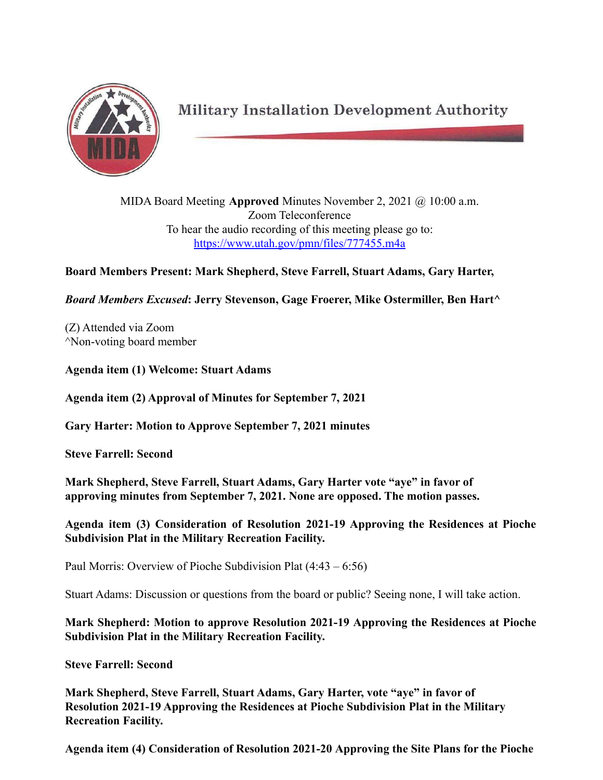

**Military Installation Development Authority** 

MIDA Board Meeting **Approved** Minutes November 2, 2021 @ 10:00 a.m. Zoom Teleconference To hear the audio recording of this meeting please go to: <https://www.utah.gov/pmn/files/777455.m4a>

**Board Members Present: Mark Shepherd, Steve Farrell, Stuart Adams, Gary Harter,**

*Board Members Excused***: Jerry Stevenson, Gage Froerer, Mike Ostermiller, Ben Hart^**

(Z) Attended via Zoom ^Non-voting board member

**Agenda item (1) Welcome: Stuart Adams**

**Agenda item (2) Approval of Minutes for September 7, 2021**

**Gary Harter: Motion to Approve September 7, 2021 minutes**

**Steve Farrell: Second**

**Mark Shepherd, Steve Farrell, Stuart Adams, Gary Harter vote "aye" in favor of approving minutes from September 7, 2021. None are opposed. The motion passes.**

**Agenda item (3) Consideration of Resolution 2021-19 Approving the Residences at Pioche Subdivision Plat in the Military Recreation Facility.**

Paul Morris: Overview of Pioche Subdivision Plat (4:43 – 6:56)

Stuart Adams: Discussion or questions from the board or public? Seeing none, I will take action.

**Mark Shepherd: Motion to approve Resolution 2021-19 Approving the Residences at Pioche Subdivision Plat in the Military Recreation Facility.**

**Steve Farrell: Second**

**Mark Shepherd, Steve Farrell, Stuart Adams, Gary Harter, vote "aye" in favor of Resolution 2021-19 Approving the Residences at Pioche Subdivision Plat in the Military Recreation Facility.**

**Agenda item (4) Consideration of Resolution 2021-20 Approving the Site Plans for the Pioche**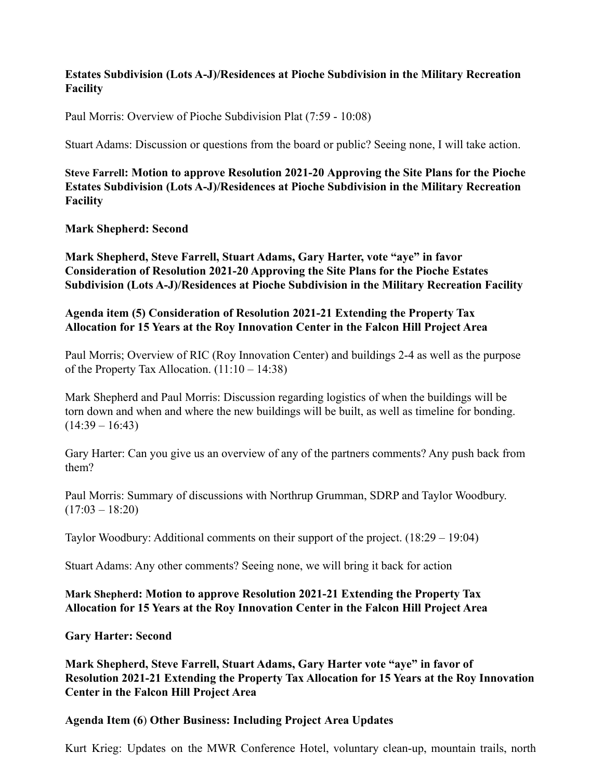# **Estates Subdivision (Lots A-J)/Residences at Pioche Subdivision in the Military Recreation Facility**

Paul Morris: Overview of Pioche Subdivision Plat (7:59 - 10:08)

Stuart Adams: Discussion or questions from the board or public? Seeing none, I will take action.

**Steve Farrell: Motion to approve Resolution 2021-20 Approving the Site Plans for the Pioche Estates Subdivision (Lots A-J)/Residences at Pioche Subdivision in the Military Recreation Facility**

## **Mark Shepherd: Second**

**Mark Shepherd, Steve Farrell, Stuart Adams, Gary Harter, vote "aye" in favor Consideration of Resolution 2021-20 Approving the Site Plans for the Pioche Estates Subdivision (Lots A-J)/Residences at Pioche Subdivision in the Military Recreation Facility**

#### **Agenda item (5) Consideration of Resolution 2021-21 Extending the Property Tax Allocation for 15 Years at the Roy Innovation Center in the Falcon Hill Project Area**

Paul Morris; Overview of RIC (Roy Innovation Center) and buildings 2-4 as well as the purpose of the Property Tax Allocation. (11:10 – 14:38)

Mark Shepherd and Paul Morris: Discussion regarding logistics of when the buildings will be torn down and when and where the new buildings will be built, as well as timeline for bonding.  $(14:39 - 16:43)$ 

Gary Harter: Can you give us an overview of any of the partners comments? Any push back from them?

Paul Morris: Summary of discussions with Northrup Grumman, SDRP and Taylor Woodbury.  $(17:03 - 18:20)$ 

Taylor Woodbury: Additional comments on their support of the project. (18:29 – 19:04)

Stuart Adams: Any other comments? Seeing none, we will bring it back for action

## **Mark Shepherd: Motion to approve Resolution 2021-21 Extending the Property Tax Allocation for 15 Years at the Roy Innovation Center in the Falcon Hill Project Area**

**Gary Harter: Second**

**Mark Shepherd, Steve Farrell, Stuart Adams, Gary Harter vote "aye" in favor of Resolution 2021-21 Extending the Property Tax Allocation for 15 Years at the Roy Innovation Center in the Falcon Hill Project Area**

## **Agenda Item (6**) **Other Business: Including Project Area Updates**

Kurt Krieg: Updates on the MWR Conference Hotel, voluntary clean-up, mountain trails, north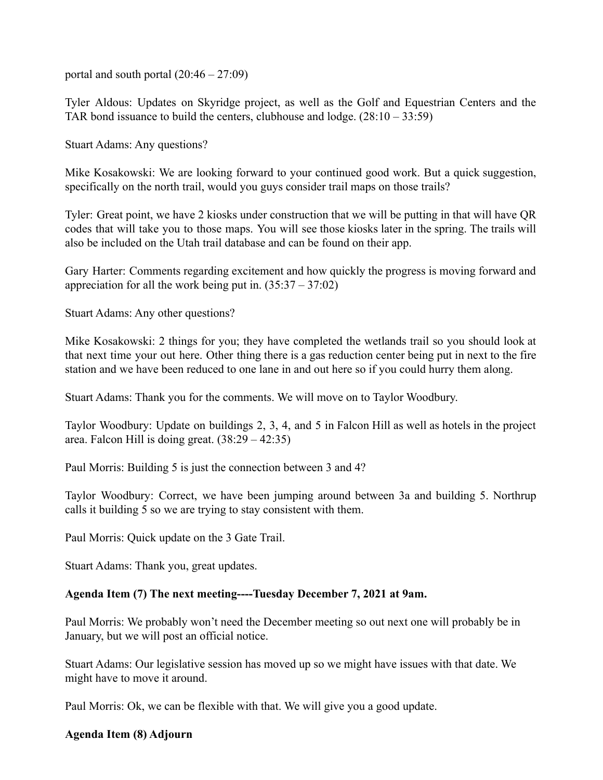portal and south portal  $(20:46 - 27:09)$ 

Tyler Aldous: Updates on Skyridge project, as well as the Golf and Equestrian Centers and the TAR bond issuance to build the centers, clubhouse and lodge.  $(28:10 - 33:59)$ 

Stuart Adams: Any questions?

Mike Kosakowski: We are looking forward to your continued good work. But a quick suggestion, specifically on the north trail, would you guys consider trail maps on those trails?

Tyler: Great point, we have 2 kiosks under construction that we will be putting in that will have QR codes that will take you to those maps. You will see those kiosks later in the spring. The trails will also be included on the Utah trail database and can be found on their app.

Gary Harter: Comments regarding excitement and how quickly the progress is moving forward and appreciation for all the work being put in.  $(35:37 - 37:02)$ 

Stuart Adams: Any other questions?

Mike Kosakowski: 2 things for you; they have completed the wetlands trail so you should look at that next time your out here. Other thing there is a gas reduction center being put in next to the fire station and we have been reduced to one lane in and out here so if you could hurry them along.

Stuart Adams: Thank you for the comments. We will move on to Taylor Woodbury.

Taylor Woodbury: Update on buildings 2, 3, 4, and 5 in Falcon Hill as well as hotels in the project area. Falcon Hill is doing great. (38:29 – 42:35)

Paul Morris: Building 5 is just the connection between 3 and 4?

Taylor Woodbury: Correct, we have been jumping around between 3a and building 5. Northrup calls it building 5 so we are trying to stay consistent with them.

Paul Morris: Quick update on the 3 Gate Trail.

Stuart Adams: Thank you, great updates.

## **Agenda Item (7) The next meeting----Tuesday December 7, 2021 at 9am.**

Paul Morris: We probably won't need the December meeting so out next one will probably be in January, but we will post an official notice.

Stuart Adams: Our legislative session has moved up so we might have issues with that date. We might have to move it around.

Paul Morris: Ok, we can be flexible with that. We will give you a good update.

#### **Agenda Item (8) Adjourn**